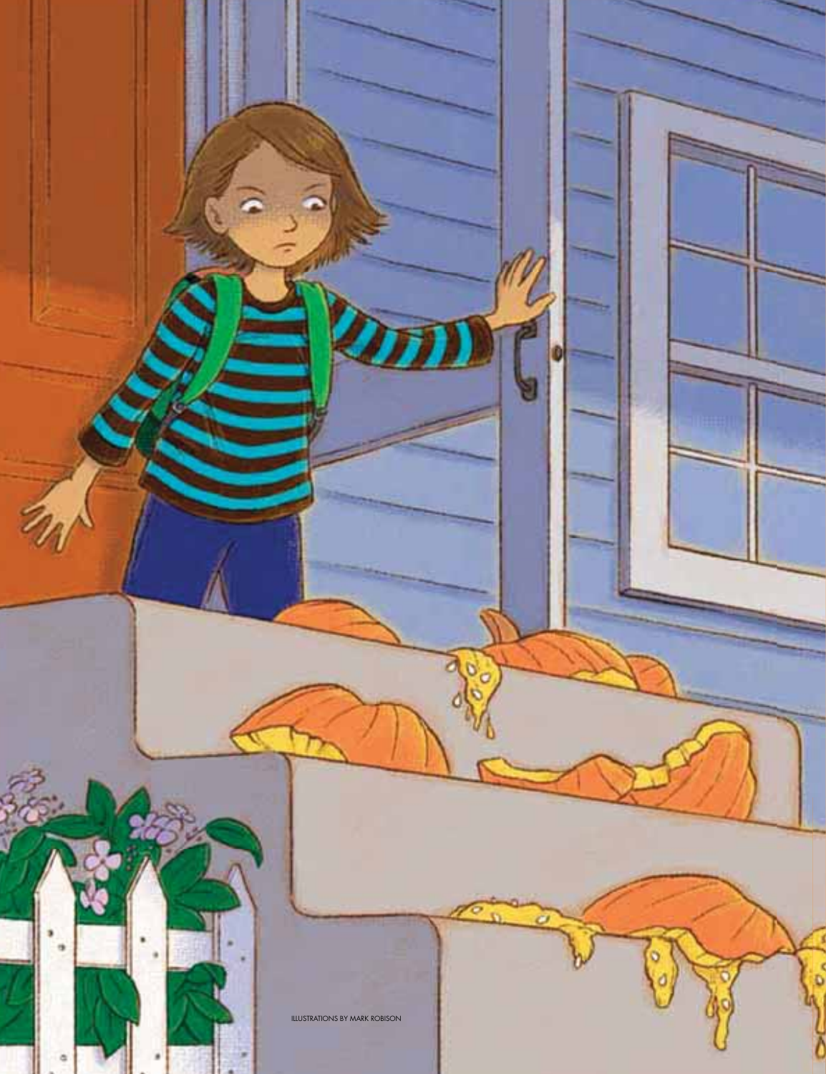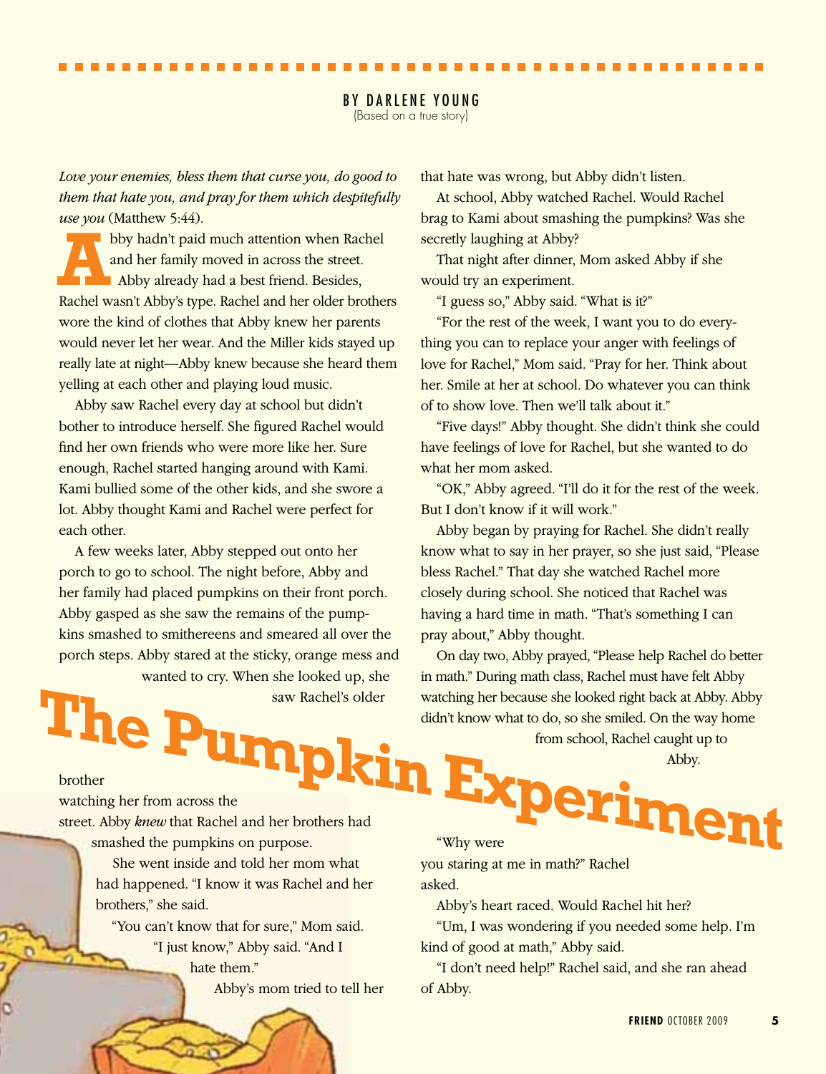(Based on a true story)

*Love your enemies, bless them that curse you, do good to them that hate you, and pray for them which despitefully use you* (Matthew 5:44).

bby hadn't paid much attention when Rachel<br>
and her family moved in across the street.<br>
Abby already had a best friend. Besides,<br>
Pachel was it Abby's tree. Beshel and her alder has he and her family moved in across the street. Rachel wasn't Abby's type. Rachel and her older brothers wore the kind of clothes that Abby knew her parents would never let her wear. And the Miller kids stayed up really late at night—Abby knew because she heard them yelling at each other and playing loud music.

Abby saw Rachel every day at school but didn't bother to introduce herself. She figured Rachel would find her own friends who were more like her. Sure enough, Rachel started hanging around with Kami. Kami bullied some of the other kids, and she swore a lot. Abby thought Kami and Rachel were perfect for each other.

A few weeks later, Abby stepped out onto her porch to go to school. The night before, Abby and her family had placed pumpkins on their front porch. Abby gasped as she saw the remains of the pumpkins smashed to smithereens and smeared all over the porch steps. Abby stared at the sticky, orange mess and wanted to cry. When she looked up, she

saw Rachel's older

that hate was wrong, but Abby didn't listen.

At school, Abby watched Rachel. Would Rachel brag to Kami about smashing the pumpkins? Was she secretly laughing at Abby?

That night after dinner, Mom asked Abby if she would try an experiment.

"I guess so," Abby said. "What is it?"

"For the rest of the week, I want you to do everything you can to replace your anger with feelings of love for Rachel," Mom said. "Pray for her. Think about her. Smile at her at school. Do whatever you can think of to show love. Then we'll talk about it."

"Five days!" Abby thought. She didn't think she could have feelings of love for Rachel, but she wanted to do what her mom asked.

"OK," Abby agreed. "I'll do it for the rest of the week. But I don't know if it will work."

Abby began by praying for Rachel. She didn't really know what to say in her prayer, so she just said, "Please bless Rachel." That day she watched Rachel more closely during school. She noticed that Rachel was having a hard time in math. "That's something I can pray about," Abby thought.

On day two, Abby prayed, "Please help Rachel do better in math." During math class, Rachel must have felt Abby watching her because she looked right back at Abby. Abby didn't know what to do, so she smiled. On the way home saw Rachel's older<br>
watching her because she looked right back at Abby. Abby<br>
didn't know what to do, so she smiled. On the way home<br>
from school, Rachel caught up to<br>
brother<br>
watching her from across the<br>
street. Abby kn

from school, Rachel caught up to Abby.

brother

watching her from across the street. Abby *knew* that Rachel and her brothers had smashed the pumpkins on purpose.

She went inside and told her mom what had happened. "I know it was Rachel and her brothers," she said.

"You can't know that for sure," Mom said. "I just know," Abby said. "And I hate them" Abby's mom tried to tell her

you staring at me in math?" Rachel asked.

Abby's heart raced. Would Rachel hit her?

"Um, I was wondering if you needed some help. I'm kind of good at math," Abby said.

"I don't need help!" Rachel said, and she ran ahead of Abby.